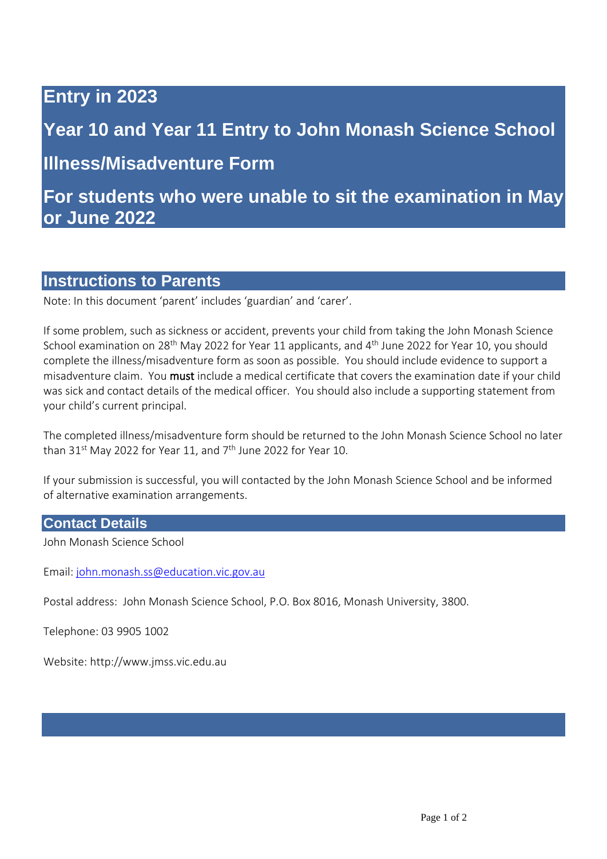# **Entry in 2023**

# **Year 10 and Year 11 Entry to John Monash Science School**

**Illness/Misadventure Form** 

**For students who were unable to sit the examination in May or June 2022**

## **Instructions to Parents**

Note: In this document 'parent' includes 'guardian' and 'carer'.

If some problem, such as sickness or accident, prevents your child from taking the John Monash Science School examination on 28<sup>th</sup> May 2022 for Year 11 applicants, and 4<sup>th</sup> June 2022 for Year 10, you should complete the illness/misadventure form as soon as possible. You should include evidence to support a misadventure claim. You must include a medical certificate that covers the examination date if your child was sick and contact details of the medical officer. You should also include a supporting statement from your child's current principal.

The completed illness/misadventure form should be returned to the John Monash Science School no later than 31st May 2022 for Year 11, and 7<sup>th</sup> June 2022 for Year 10.

If your submission is successful, you will contacted by the John Monash Science School and be informed of alternative examination arrangements.

### **Contact Details**

John Monash Science School

Email[: john.monash.ss@education.vic.gov.au](mailto:john.monash.ss@education.vic.gov.au)

Postal address: John Monash Science School, P.O. Box 8016, Monash University, 3800.

Telephone: 03 9905 1002

Website: http://www.jmss.vic.edu.au